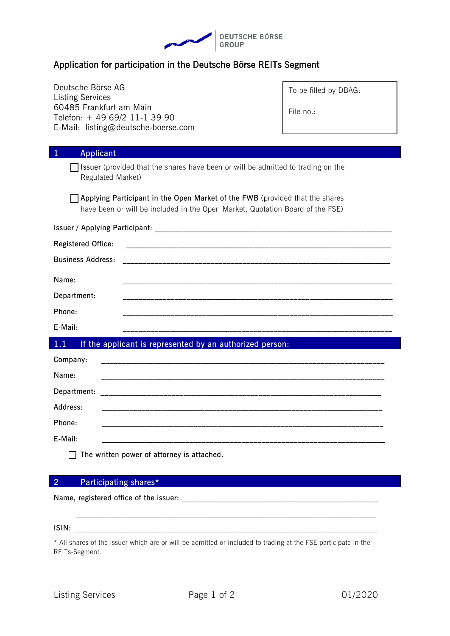

## Application for participation in the Deutsche Börse REITs Segment

| Deutsche Börse AG<br><b>Listing Services</b>                                                                                                                  | To be filled by DBAG: |  |
|---------------------------------------------------------------------------------------------------------------------------------------------------------------|-----------------------|--|
| 60485 Frankfurt am Main                                                                                                                                       | File no.:             |  |
| Telefon: + 49 69/2 11-1 39 90                                                                                                                                 |                       |  |
| E-Mail: listing@deutsche-boerse.com                                                                                                                           |                       |  |
| $\mathbf{1}$<br>Applicant                                                                                                                                     |                       |  |
| <b>Solution</b> Issuer (provided that the shares have been or will be admitted to trading on the<br>Regulated Market)                                         |                       |  |
| Applying Participant in the Open Market of the FWB (provided that the shares<br>have been or will be included in the Open Market, Quotation Board of the FSE) |                       |  |
|                                                                                                                                                               |                       |  |
| Registered Office:                                                                                                                                            |                       |  |
| <b>Business Address:</b>                                                                                                                                      |                       |  |
| Name:                                                                                                                                                         |                       |  |
| Department:                                                                                                                                                   |                       |  |
| Phone:                                                                                                                                                        |                       |  |
| E-Mail:                                                                                                                                                       |                       |  |
| 1.1<br>If the applicant is represented by an authorized person:                                                                                               |                       |  |
| Company:                                                                                                                                                      |                       |  |
| Name:                                                                                                                                                         |                       |  |
| Department:                                                                                                                                                   |                       |  |
| Address:                                                                                                                                                      |                       |  |
| Phone:                                                                                                                                                        |                       |  |
| E-Mail:                                                                                                                                                       |                       |  |
| The written power of attorney is attached.                                                                                                                    |                       |  |

## **2 Participating shares\***

**Name, registered office of the issuer:** \_\_\_\_\_\_\_\_\_\_\_\_\_\_\_\_\_\_\_\_\_\_\_\_\_\_\_\_\_\_\_\_\_\_\_\_\_\_\_\_\_\_\_\_\_\_\_\_\_\_

**ISIN:** \_\_\_\_\_\_\_\_\_\_\_\_\_\_\_\_\_\_\_\_\_\_\_\_\_\_\_\_\_\_\_\_\_\_\_\_\_\_\_\_\_\_\_\_\_\_\_\_\_\_\_\_\_\_\_\_\_\_\_\_\_\_\_\_\_\_\_\_\_\_\_\_\_\_\_\_\_

\* All shares of the issuer which are or will be admitted or included to trading at the FSE participate in the REITs-Segment.